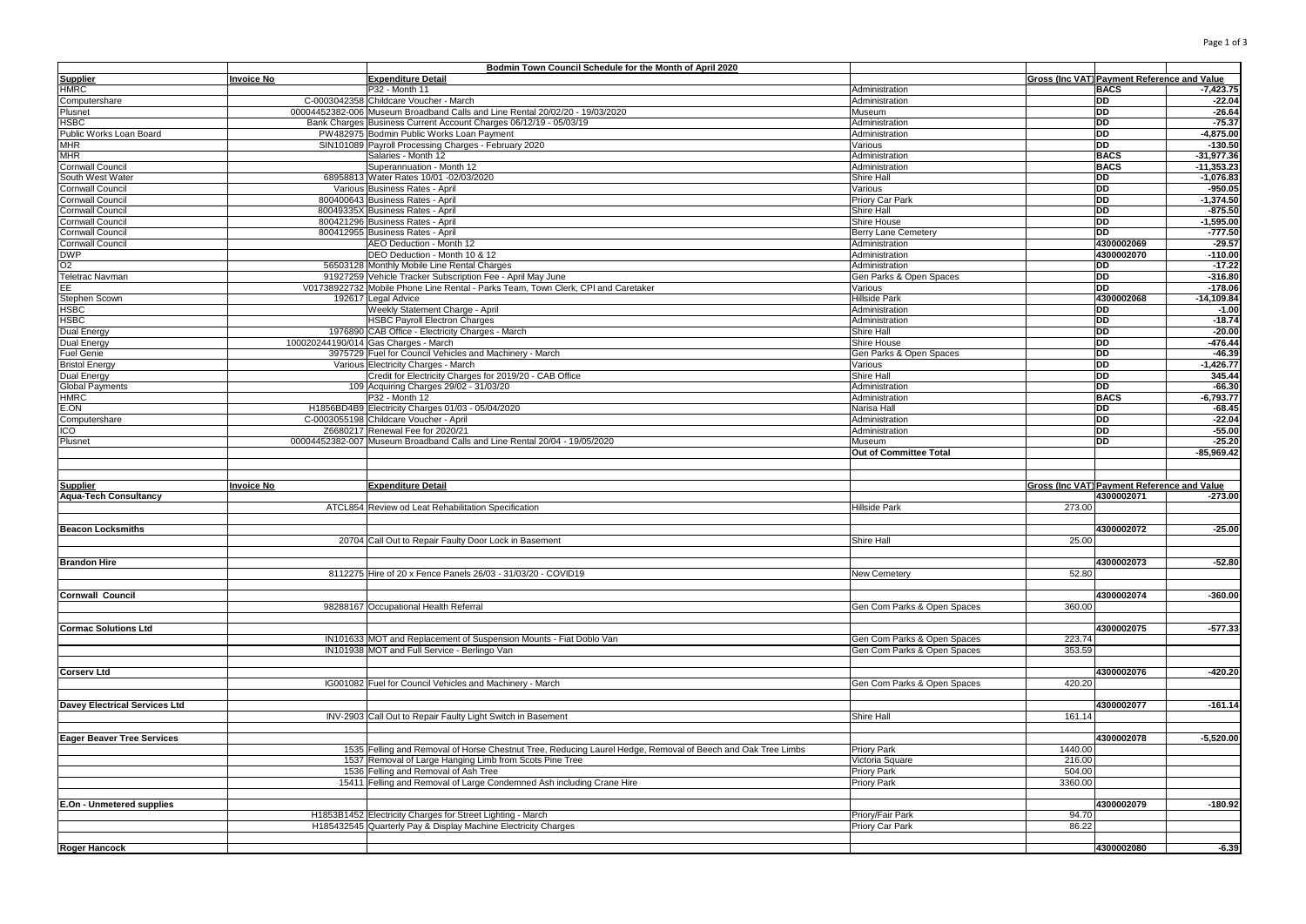|                                   |                   | Bodmin Town Council Schedule for the Month of April 2020                                                    |                                        |                                             |               |
|-----------------------------------|-------------------|-------------------------------------------------------------------------------------------------------------|----------------------------------------|---------------------------------------------|---------------|
| Supplier                          | <b>Invoice No</b> | <b>Expenditure Detail</b>                                                                                   |                                        | Gross (Inc VAT) Payment Reference and Value |               |
| HMRC                              |                   | P32 - Month 11                                                                                              | Administration                         | <b>BACS</b>                                 | $-7,423.75$   |
| Computershare                     |                   | C-0003042358 Childcare Voucher - March                                                                      | Administration                         | DD                                          | $-22.04$      |
| Plusnet                           |                   | 00004452382-006 Museum Broadband Calls and Line Rental 20/02/20 - 19/03/2020                                | Museum                                 | <b>DD</b>                                   | $-26.64$      |
| HSBC                              |                   | Bank Charges Business Current Account Charges 06/12/19 - 05/03/19                                           | Administration                         | <b>DD</b>                                   | $-75.37$      |
| Public Works Loan Board           |                   | PW482975 Bodmin Public Works Loan Payment                                                                   | Administration                         | <b>DD</b>                                   | $-4,875.00$   |
|                                   |                   |                                                                                                             |                                        |                                             |               |
| <b>MHR</b>                        |                   | SIN101089 Payroll Processing Charges - February 2020                                                        | Various                                | <b>DD</b>                                   | $-130.50$     |
| MHR                               |                   | Salaries - Month 12                                                                                         | Administration                         | <b>BACS</b>                                 | $-31,977.36$  |
| Cornwall Council                  |                   | Superannuation - Month 12                                                                                   | Administration                         | <b>BACS</b>                                 | $-11,353.23$  |
| South West Water                  |                   | 68958813 Water Rates 10/01 -02/03/2020                                                                      | Shire Hall                             | DD                                          | $-1,076.83$   |
| Cornwall Council                  |                   | Various Business Rates - April                                                                              | Various                                | DD                                          | $-950.05$     |
| Cornwall Council                  |                   | 800400643 Business Rates - April                                                                            | Priory Car Park                        | DD                                          | $-1,374.50$   |
| Cornwall Council                  |                   | 80049335X Business Rates - April                                                                            | Shire Hall                             | <b>DD</b>                                   | $-875.50$     |
| Cornwall Council                  |                   | 800421296 Business Rates - April                                                                            | Shire House                            | $\overline{DD}$                             | $-1,595.00$   |
| Cornwall Council                  |                   | 800412955 Business Rates - April                                                                            | <b>Berry Lane Cemetery</b>             | <b>DD</b>                                   | $-777.50$     |
|                                   |                   | AEO Deduction - Month 12                                                                                    | Administration                         | 4300002069                                  | $-29.57$      |
| Cornwall Council                  |                   |                                                                                                             | Administration                         | 4300002070                                  | $-110.00$     |
| DWP                               |                   | DEO Deduction - Month 10 & 12                                                                               |                                        |                                             |               |
| O2                                |                   | 56503128 Monthly Mobile Line Rental Charges                                                                 | Administration                         | DD.                                         | $-17.22$      |
| Teletrac Navman                   |                   | 91927259 Vehicle Tracker Subscription Fee - April May June                                                  | Gen Parks & Open Spaces                | DD                                          | $-316.80$     |
| EE                                |                   | V01738922732 Mobile Phone Line Rental - Parks Team, Town Clerk, CPI and Caretaker                           | Various                                | DD                                          | $-178.06$     |
| Stephen Scown                     |                   | 192617 Legal Advice                                                                                         | <b>Hillside Park</b>                   | 4300002068                                  | $-14, 109.84$ |
| HSBC                              |                   | Weekly Statement Charge - April                                                                             | Administration                         | DD                                          | $-1.00$       |
| HSBC                              |                   | <b>HSBC Payroll Electron Charges</b>                                                                        | Administration                         | DD                                          | $-18.74$      |
| Dual Energy                       |                   | 1976890 CAB Office - Electricity Charges - March                                                            | Shire Hall                             | <b>DD</b>                                   | $-20.00$      |
| Dual Energy                       |                   | 100020244190/014 Gas Charges - March                                                                        | Shire House                            | DD                                          | $-476.44$     |
|                                   |                   |                                                                                                             |                                        | <b>DD</b>                                   | $-46.39$      |
| <b>Fuel Genie</b>                 |                   | 3975729 Fuel for Council Vehicles and Machinery - March                                                     | Gen Parks & Open Spaces                | <b>DD</b>                                   |               |
| <b>Bristol Energy</b>             |                   | Various Electricity Charges - March                                                                         | Various                                |                                             | $-1,426.77$   |
| Dual Energy                       |                   | Credit for Electricity Charges for 2019/20 - CAB Office                                                     | Shire Hall                             | l DD                                        | 345.44        |
| Global Payments                   |                   | 109 Acquiring Charges 29/02 - 31/03/20                                                                      | Administration                         | DD                                          | $-66.30$      |
| <b>HMRC</b>                       |                   | P32 - Month 12                                                                                              | Administration                         | <b>BACS</b>                                 | $-6,793.77$   |
| E.ON                              |                   | H1856BD4B9 Electricity Charges 01/03 - 05/04/2020                                                           | Narisa Hall                            | DD                                          | $-68.45$      |
| Computershare                     |                   | C-0003055198 Childcare Voucher - April                                                                      | Administration                         | DD                                          | $-22.04$      |
| ICO                               |                   | Z6680217 Renewal Fee for 2020/21                                                                            | Administration                         | DD                                          | $-55.00$      |
| Plusnet                           |                   | 00004452382-007 Museum Broadband Calls and Line Rental 20/04 - 19/05/2020                                   | Museum                                 | DD                                          | $-25.20$      |
|                                   |                   |                                                                                                             | Out of Committee Total                 |                                             | $-85,969.42$  |
|                                   |                   |                                                                                                             |                                        |                                             |               |
|                                   |                   |                                                                                                             |                                        |                                             |               |
| <b>Supplier</b>                   | <b>Invoice No</b> | <b>Expenditure Detail</b>                                                                                   |                                        | Gross (Inc VAT) Payment Reference and Value |               |
|                                   |                   |                                                                                                             |                                        | 4300002071                                  | $-273.00$     |
| <b>Aqua-Tech Consultancy</b>      |                   |                                                                                                             |                                        |                                             |               |
|                                   |                   | ATCL854 Review od Leat Rehabilitation Specification                                                         | <b>Hillside Park</b>                   | 273.00                                      |               |
|                                   |                   |                                                                                                             |                                        |                                             |               |
| <b>Beacon Locksmiths</b>          |                   |                                                                                                             |                                        | 4300002072                                  | $-25.00$      |
|                                   |                   | 20704 Call Out to Repair Faulty Door Lock in Basement                                                       | Shire Hall                             | 25.00                                       |               |
|                                   |                   |                                                                                                             |                                        |                                             |               |
| Brandon Hire                      |                   |                                                                                                             |                                        | 4300002073                                  | $-52.80$      |
|                                   |                   | 8112275 Hire of 20 x Fence Panels 26/03 - 31/03/20 - COVID19                                                | New Cemetery                           | 52.80                                       |               |
|                                   |                   |                                                                                                             |                                        |                                             |               |
| Cornwall Council                  |                   |                                                                                                             |                                        | 4300002074                                  | $-360.00$     |
|                                   |                   | 98288167 Occupational Health Referral                                                                       | <b>Gen Com Parks &amp; Open Spaces</b> | 360.00                                      |               |
|                                   |                   |                                                                                                             |                                        |                                             |               |
|                                   |                   |                                                                                                             |                                        |                                             |               |
| <b>Cormac Solutions Ltd</b>       |                   |                                                                                                             |                                        | 4300002075                                  | $-577.33$     |
|                                   |                   | IN101633 MOT and Replacement of Suspension Mounts - Fiat Doblo Van                                          | Gen Com Parks & Open Spaces            | 223.74                                      |               |
|                                   |                   | IN101938 MOT and Full Service - Berlingo Van                                                                | Gen Com Parks & Open Spaces            | 353.59                                      |               |
|                                   |                   |                                                                                                             |                                        |                                             |               |
| <b>Corserv Ltd</b>                |                   |                                                                                                             |                                        | 4300002076                                  | $-420.20$     |
|                                   |                   | IG001082 Fuel for Council Vehicles and Machinery - March                                                    | Gen Com Parks & Open Spaces            | 420.20                                      |               |
|                                   |                   |                                                                                                             |                                        |                                             |               |
| Davey Electrical Services Ltd     |                   |                                                                                                             |                                        | 4300002077                                  | $-161.14$     |
|                                   |                   |                                                                                                             | Shire Hall                             | 161.14                                      |               |
|                                   |                   | INV-2903 Call Out to Repair Faulty Light Switch in Basement                                                 |                                        |                                             |               |
|                                   |                   |                                                                                                             |                                        |                                             |               |
| <b>Eager Beaver Tree Services</b> |                   |                                                                                                             |                                        | 4300002078                                  | $-5,520.00$   |
|                                   |                   | 1535 Felling and Removal of Horse Chestnut Tree, Reducing Laurel Hedge, Removal of Beech and Oak Tree Limbs | Priory Park                            | 1440.00                                     |               |
|                                   |                   | 1537 Removal of Large Hanging Limb from Scots Pine Tree                                                     | Victoria Square                        | 216.00                                      |               |
|                                   |                   | 1536 Felling and Removal of Ash Tree                                                                        | <b>Priory Park</b>                     | 504.00                                      |               |
|                                   |                   | 15411 Felling and Removal of Large Condemned Ash including Crane Hire                                       | <b>Priory Park</b>                     | 3360.00                                     |               |
|                                   |                   |                                                                                                             |                                        |                                             |               |
| E.On - Unmetered supplies         |                   |                                                                                                             |                                        | 4300002079                                  | $-180.92$     |
|                                   |                   |                                                                                                             |                                        |                                             |               |
|                                   |                   | H1853B1452 Electricity Charges for Street Lighting - March                                                  | Priory/Fair Park                       | 94.70                                       |               |
|                                   |                   | H185432545 Quarterly Pay & Display Machine Electricity Charges                                              | Priory Car Park                        | 86.22                                       |               |
| Roger Hancock                     |                   |                                                                                                             |                                        | 4300002080                                  | $-6.39$       |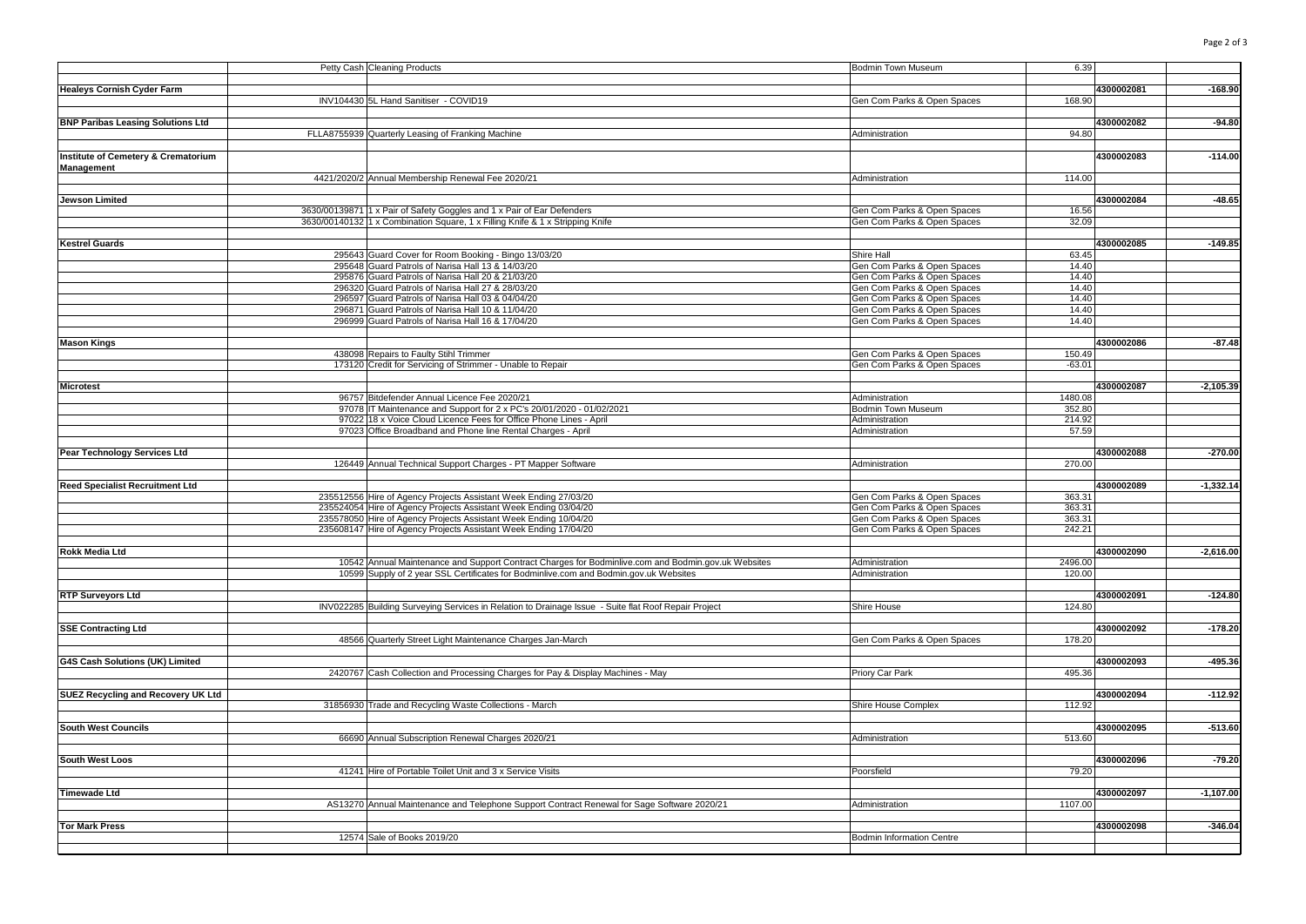| ٠ | i |
|---|---|
|---|---|

|                                                | Petty Cash Cleaning Products                                                                                                                            | <b>Bodmin Town Museum</b>                                  | 6.39           |            |             |
|------------------------------------------------|---------------------------------------------------------------------------------------------------------------------------------------------------------|------------------------------------------------------------|----------------|------------|-------------|
|                                                |                                                                                                                                                         |                                                            |                |            |             |
| <b>Healeys Cornish Cyder Farm</b>              |                                                                                                                                                         |                                                            |                | 4300002081 | $-168.90$   |
|                                                | INV104430 5L Hand Sanitiser - COVID19                                                                                                                   | Gen Com Parks & Open Spaces                                | 168.90         |            |             |
|                                                |                                                                                                                                                         |                                                            |                |            |             |
| <b>BNP Paribas Leasing Solutions Ltd</b>       |                                                                                                                                                         |                                                            |                | 4300002082 | $-94.80$    |
|                                                | FLLA8755939 Quarterly Leasing of Franking Machine                                                                                                       | Administration                                             | 94.80          |            |             |
|                                                |                                                                                                                                                         |                                                            |                |            |             |
| <b>Institute of Cemetery &amp; Crematorium</b> |                                                                                                                                                         |                                                            |                | 4300002083 | $-114.00$   |
| Management                                     |                                                                                                                                                         |                                                            |                |            |             |
|                                                | 4421/2020/2 Annual Membership Renewal Fee 2020/21                                                                                                       | Administration                                             | 114.00         |            |             |
|                                                |                                                                                                                                                         |                                                            |                | 4300002084 | $-48.65$    |
| <b>Jewson Limited</b>                          |                                                                                                                                                         |                                                            |                |            |             |
|                                                | 3630/00139871 1 x Pair of Safety Goggles and 1 x Pair of Ear Defenders<br>3630/00140132 1 x Combination Square, 1 x Filling Knife & 1 x Stripping Knife | Gen Com Parks & Open Spaces<br>Gen Com Parks & Open Spaces | 16.56<br>32.09 |            |             |
|                                                |                                                                                                                                                         |                                                            |                |            |             |
| <b>Kestrel Guards</b>                          |                                                                                                                                                         |                                                            |                | 4300002085 | $-149.85$   |
|                                                | 295643 Guard Cover for Room Booking - Bingo 13/03/20                                                                                                    | Shire Hall                                                 | 63.45          |            |             |
|                                                | 295648 Guard Patrols of Narisa Hall 13 & 14/03/20                                                                                                       | Gen Com Parks & Open Spaces                                | 14.40          |            |             |
|                                                | 295876 Guard Patrols of Narisa Hall 20 & 21/03/20                                                                                                       | Gen Com Parks & Open Spaces                                | 14.40          |            |             |
|                                                | 296320 Guard Patrols of Narisa Hall 27 & 28/03/20                                                                                                       | Gen Com Parks & Open Spaces                                | 14.40          |            |             |
|                                                | 296597 Guard Patrols of Narisa Hall 03 & 04/04/20                                                                                                       | Gen Com Parks & Open Spaces                                | 14.40          |            |             |
|                                                | 296871 Guard Patrols of Narisa Hall 10 & 11/04/20                                                                                                       | Gen Com Parks & Open Spaces                                | 14.40          |            |             |
|                                                | 296999 Guard Patrols of Narisa Hall 16 & 17/04/20                                                                                                       | Gen Com Parks & Open Spaces                                | 14.40          |            |             |
|                                                |                                                                                                                                                         |                                                            |                |            |             |
| <b>Mason Kings</b>                             |                                                                                                                                                         |                                                            |                | 4300002086 | $-87.48$    |
|                                                | 438098 Repairs to Faulty Stihl Trimmer                                                                                                                  | Gen Com Parks & Open Spaces                                | 150.49         |            |             |
|                                                | 173120 Credit for Servicing of Strimmer - Unable to Repair                                                                                              | Gen Com Parks & Open Spaces                                | $-63.01$       |            |             |
|                                                |                                                                                                                                                         |                                                            |                |            |             |
| <b>Microtest</b>                               |                                                                                                                                                         |                                                            |                | 4300002087 | $-2,105.39$ |
|                                                | 96757 Bitdefender Annual Licence Fee 2020/21                                                                                                            | Administration                                             | 1480.08        |            |             |
|                                                | 97078 IT Maintenance and Support for 2 x PC's 20/01/2020 - 01/02/2021                                                                                   | Bodmin Town Museum                                         | 352.80         |            |             |
|                                                | 97022 18 x Voice Cloud Licence Fees for Office Phone Lines - April                                                                                      | Administration                                             | 214.92         |            |             |
|                                                | 97023 Office Broadband and Phone line Rental Charges - April                                                                                            | Administration                                             | 57.59          |            |             |
|                                                |                                                                                                                                                         |                                                            |                |            |             |
| Pear Technology Services Ltd                   |                                                                                                                                                         |                                                            |                | 4300002088 | $-270.00$   |
|                                                | 126449 Annual Technical Support Charges - PT Mapper Software                                                                                            | Administration                                             | 270.00         |            |             |
|                                                |                                                                                                                                                         |                                                            |                | 4300002089 | $-1,332.14$ |
| <b>Reed Specialist Recruitment Ltd</b>         | 235512556 Hire of Agency Projects Assistant Week Ending 27/03/20                                                                                        | Gen Com Parks & Open Spaces                                | 363.31         |            |             |
|                                                | 235524054 Hire of Agency Projects Assistant Week Ending 03/04/20                                                                                        | Gen Com Parks & Open Spaces                                | 363.31         |            |             |
|                                                | 235578050 Hire of Agency Projects Assistant Week Ending 10/04/20                                                                                        | Gen Com Parks & Open Spaces                                | 363.31         |            |             |
|                                                | 235608147 Hire of Agency Projects Assistant Week Ending 17/04/20                                                                                        | Gen Com Parks & Open Spaces                                | 242.21         |            |             |
|                                                |                                                                                                                                                         |                                                            |                |            |             |
| <b>Rokk Media Ltd</b>                          |                                                                                                                                                         |                                                            |                | 4300002090 | $-2,616.00$ |
|                                                | 10542 Annual Maintenance and Support Contract Charges for Bodminlive.com and Bodmin.gov.uk Websites                                                     | Administration                                             | 2496.00        |            |             |
|                                                | 10599 Supply of 2 year SSL Certificates for Bodminlive.com and Bodmin.gov.uk Websites                                                                   | Administration                                             | 120.00         |            |             |
|                                                |                                                                                                                                                         |                                                            |                |            |             |
| <b>RTP Surveyors Ltd</b>                       |                                                                                                                                                         |                                                            |                | 4300002091 | $-124.80$   |
|                                                | INV022285 Building Surveying Services in Relation to Drainage Issue - Suite flat Roof Repair Project                                                    | Shire House                                                | 124.80         |            |             |
|                                                |                                                                                                                                                         |                                                            |                |            |             |
| <b>SSE Contracting Ltd</b>                     |                                                                                                                                                         |                                                            |                | 4300002092 | $-178.20$   |
|                                                | 48566 Quarterly Street Light Maintenance Charges Jan-March                                                                                              | Gen Com Parks & Open Spaces                                | 178.20         |            |             |
|                                                |                                                                                                                                                         |                                                            |                |            |             |
| G4S Cash Solutions (UK) Limited                |                                                                                                                                                         |                                                            |                | 4300002093 | $-495.36$   |
|                                                | 2420767 Cash Collection and Processing Charges for Pay & Display Machines - May                                                                         | Priory Car Park                                            | 495.36         |            |             |
| SUEZ Recycling and Recovery UK Ltd             |                                                                                                                                                         |                                                            |                | 4300002094 | $-112.92$   |
|                                                | 31856930 Trade and Recycling Waste Collections - March                                                                                                  | Shire House Complex                                        | 112.92         |            |             |
|                                                |                                                                                                                                                         |                                                            |                |            |             |
| <b>South West Councils</b>                     |                                                                                                                                                         |                                                            |                | 4300002095 | $-513.60$   |
|                                                | 66690 Annual Subscription Renewal Charges 2020/21                                                                                                       | Administration                                             | 513.60         |            |             |
|                                                |                                                                                                                                                         |                                                            |                |            |             |
| South West Loos                                |                                                                                                                                                         |                                                            |                | 4300002096 | $-79.20$    |
|                                                | 41241 Hire of Portable Toilet Unit and 3 x Service Visits                                                                                               | Poorsfield                                                 | 79.20          |            |             |
|                                                |                                                                                                                                                         |                                                            |                |            |             |
| <b>Timewade Ltd</b>                            |                                                                                                                                                         |                                                            |                | 4300002097 | $-1,107.00$ |
|                                                | AS13270 Annual Maintenance and Telephone Support Contract Renewal for Sage Software 2020/21                                                             | Administration                                             | 1107.00        |            |             |
|                                                |                                                                                                                                                         |                                                            |                |            |             |
| <b>Tor Mark Press</b>                          |                                                                                                                                                         |                                                            |                | 4300002098 | $-346.04$   |
|                                                | 12574 Sale of Books 2019/20                                                                                                                             | <b>Bodmin Information Centre</b>                           |                |            |             |
|                                                |                                                                                                                                                         |                                                            |                |            |             |